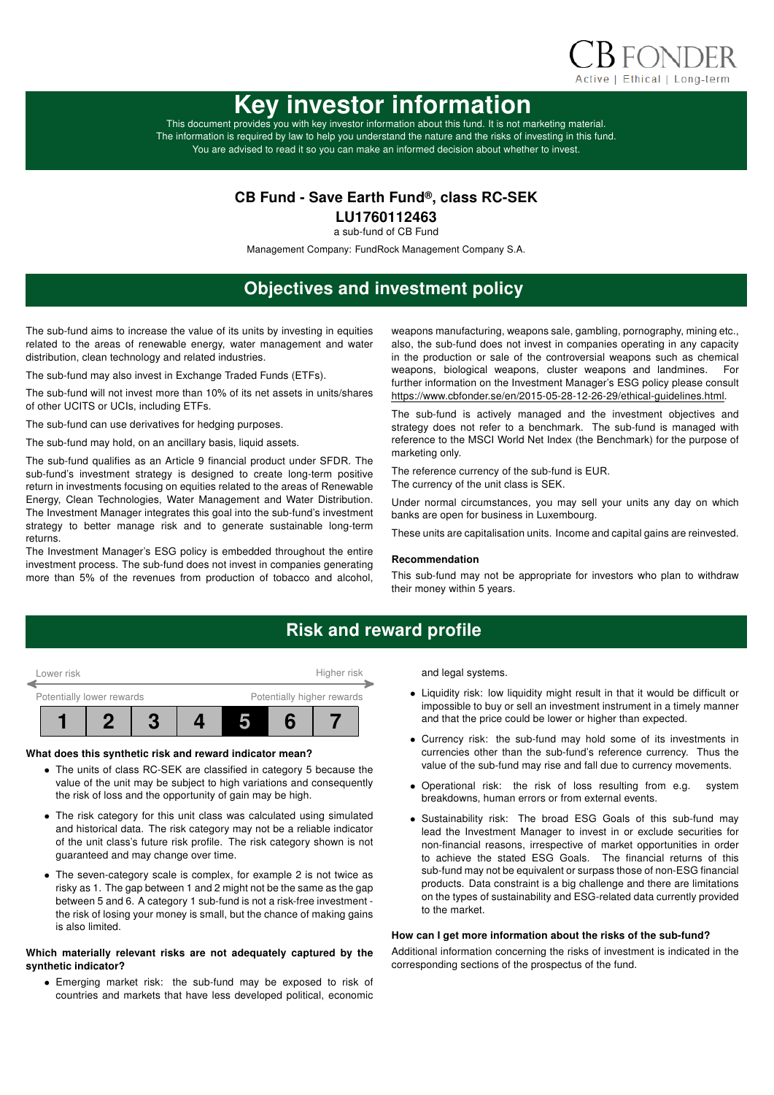

# Key investor information

This document provides you with key investor information about this fund. It is not marketing material. The information is required by law to help you understand the nature and the risks of investing in this fund. You are advised to read it so you can make an informed decision about whether to invest.

### CB Fund - Save Earth Fund®, class RC-SEK

LU1760112463

a sub-fund of CB Fund

Management Company: FundRock Management Company S.A.

# Objectives and investment policy

The sub-fund aims to increase the value of its units by investing in equities related to the areas of renewable energy, water management and water distribution, clean technology and related industries.

The sub-fund may also invest in Exchange Traded Funds (ETFs).

The sub-fund will not invest more than 10% of its net assets in units/shares of other UCITS or UCIs, including ETFs.

The sub-fund can use derivatives for hedging purposes.

The sub-fund may hold, on an ancillary basis, liquid assets.

The sub-fund qualifies as an Article 9 financial product under SFDR. The sub-fund's investment strategy is designed to create long-term positive return in investments focusing on equities related to the areas of Renewable Energy, Clean Technologies, Water Management and Water Distribution. The Investment Manager integrates this goal into the sub-fund's investment strategy to better manage risk and to generate sustainable long-term returns.

The Investment Manager's ESG policy is embedded throughout the entire investment process. The sub-fund does not invest in companies generating more than 5% of the revenues from production of tobacco and alcohol, weapons manufacturing, weapons sale, gambling, pornography, mining etc., also, the sub-fund does not invest in companies operating in any capacity in the production or sale of the controversial weapons such as chemical weapons, biological weapons, cluster weapons and landmines. For further information on the Investment Manager's ESG policy please consult https://www.cbfonder.se/en/2015-05-28-12-26-29/ethical-guidelines.html.

The sub-fund is actively managed and the investment objectives and strategy does not refer to a benchmark. The sub-fund is managed with reference to the MSCI World Net Index (the Benchmark) for the purpose of marketing only.

The reference currency of the sub-fund is EUR. The currency of the unit class is SEK.

Under normal circumstances, you may sell your units any day on which banks are open for business in Luxembourg.

These units are capitalisation units. Income and capital gains are reinvested.

### Recommendation

This sub-fund may not be appropriate for investors who plan to withdraw their money within 5 years.

### Risk and reward profile



### What does this synthetic risk and reward indicator mean?

- The units of class RC-SEK are classified in category 5 because the value of the unit may be subject to high variations and consequently the risk of loss and the opportunity of gain may be high.
- The risk category for this unit class was calculated using simulated and historical data. The risk category may not be a reliable indicator of the unit class's future risk profile. The risk category shown is not guaranteed and may change over time.
- The seven-category scale is complex, for example 2 is not twice as risky as 1. The gap between 1 and 2 might not be the same as the gap between 5 and 6. A category 1 sub-fund is not a risk-free investment the risk of losing your money is small, but the chance of making gains is also limited.

### Which materially relevant risks are not adequately captured by the synthetic indicator?

• Emerging market risk: the sub-fund may be exposed to risk of countries and markets that have less developed political, economic and legal systems.

- Liquidity risk: low liquidity might result in that it would be difficult or impossible to buy or sell an investment instrument in a timely manner and that the price could be lower or higher than expected.
- Currency risk: the sub-fund may hold some of its investments in currencies other than the sub-fund's reference currency. Thus the value of the sub-fund may rise and fall due to currency movements.
- Operational risk: the risk of loss resulting from e.g. system breakdowns, human errors or from external events.
- Sustainability risk: The broad ESG Goals of this sub-fund may lead the Investment Manager to invest in or exclude securities for non-financial reasons, irrespective of market opportunities in order to achieve the stated ESG Goals. The financial returns of this sub-fund may not be equivalent or surpass those of non-ESG financial products. Data constraint is a big challenge and there are limitations on the types of sustainability and ESG-related data currently provided to the market.

### How can I get more information about the risks of the sub-fund?

Additional information concerning the risks of investment is indicated in the corresponding sections of the prospectus of the fund.